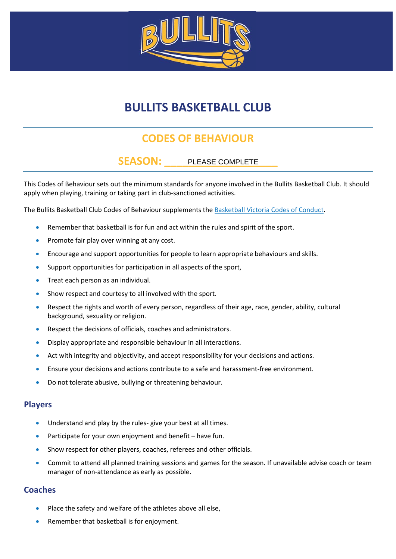

## **BULLITS BASKETBALL CLUB**

### **CODES OF BEHAVIOUR**

### SEASON: PLEASE COMPLETE

This Codes of Behaviour sets out the minimum standards for anyone involved in the Bullits Basketball Club. It should apply when playing, training or taking part in club-sanctioned activities.

The Bullits Basketball Club Codes of Behaviour supplements th[e Basketball Victoria Codes of Conduct.](http://basketballvictoria.com.au/policies/)

- Remember that basketball is for fun and act within the rules and spirit of the sport.
- Promote fair play over winning at any cost.
- Encourage and support opportunities for people to learn appropriate behaviours and skills.
- Support opportunities for participation in all aspects of the sport,
- Treat each person as an individual.
- Show respect and courtesy to all involved with the sport.
- Respect the rights and worth of every person, regardless of their age, race, gender, ability, cultural background, sexuality or religion.
- Respect the decisions of officials, coaches and administrators.
- Display appropriate and responsible behaviour in all interactions.
- Act with integrity and objectivity, and accept responsibility for your decisions and actions.
- Ensure your decisions and actions contribute to a safe and harassment-free environment.
- Do not tolerate abusive, bullying or threatening behaviour.

#### **Players**

- Understand and play by the rules- give your best at all times.
- Participate for your own enjoyment and benefit have fun.
- Show respect for other players, coaches, referees and other officials.
- Commit to attend all planned training sessions and games for the season. If unavailable advise coach or team manager of non-attendance as early as possible.

#### **Coaches**

- Place the safety and welfare of the athletes above all else,
- Remember that basketball is for enjoyment.